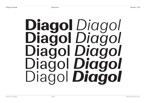# Diagol *Diagol* **Diagol** *Diagol* Diagol *Diagol* Diagol *Diagol* Diagol *Diagol*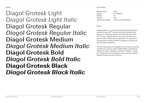Styles

Diagol Grotesk Light *Diagol Grotesk Light Italic* Diagol Grotesk Regular *Diagol Grotesk Regular Italic* Diagol Grotesk Medium *Diagol Grotesk Medium Italic* **Diagol Grotesk Bold** *Diagol Grotesk Bold Italic* Diagol Grotesk Black *Diagol Grotesk Black Italic*

Information

| Release date:     | 2021                     |
|-------------------|--------------------------|
| Design:           | Tor Weibull              |
| Styles:           | 10                       |
| Glyhps:           | 746                      |
| Supported ranges: | Latin, Latin Extended-A, |

About

Diagol grotesk is a contrasted grotesk that blends the warmth of early 20<sup>th</sup> century American Gothics with the genre of Swiss groteskts from the first half of the 20th century. Diagol reflects the history of these two genres with a contemporary approach. The typeface's sophisticated drawing makes it suitable for both body text and large headlines.

The first drawings of the typeface were made the spring of 2019 when design studio VARV VARV contacted Tor Weibull to make a typeface suitable for Signal - Center for contemporary art's signage and upcoming website, Diagol Grotesk was the outcome.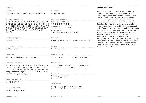#### Glyph Set

| Glyph Set                                                                                                                                                                                                      |                                                                                                                                                                                                                                                      | Supported Languages:                                                                                                                                                                                                                                                                                                                                                                  |
|----------------------------------------------------------------------------------------------------------------------------------------------------------------------------------------------------------------|------------------------------------------------------------------------------------------------------------------------------------------------------------------------------------------------------------------------------------------------------|---------------------------------------------------------------------------------------------------------------------------------------------------------------------------------------------------------------------------------------------------------------------------------------------------------------------------------------------------------------------------------------|
| Uppercase:                                                                                                                                                                                                     | Numbers:                                                                                                                                                                                                                                             | Afrikaans, Albanian, Asu, Basque, Bemba, Bena, Breton,                                                                                                                                                                                                                                                                                                                                |
| ABCDEFGHIJKLMNOPQRSTUVWXYZ                                                                                                                                                                                     | 0123456789                                                                                                                                                                                                                                           | Catalian, Chiga, Colognian, Czech, Danish, Dutch,<br>Embu, English, Esperanto, Estonian, Faroese, Filipino,                                                                                                                                                                                                                                                                           |
| <b>Accented Uppercase:</b>                                                                                                                                                                                     | <b>Additional Numbers:</b>                                                                                                                                                                                                                           | Finnish, French, Friulian, Galician, Ganda, German,<br>Gusii, Hawaiian, Hungarian, Icelandic, Inari Sami,                                                                                                                                                                                                                                                                             |
| Á Ă Ă Â Ä Ä A A À Ā Ą Å Å Ã Æ Æ Ē B Ć Č Ç Ç Ĉ Ċ Đ Ď<br><b>D</b> DDÉĔĔĘÊËËEEEEFGĞĞĞGGĞHHHHH<br>ÖÒQÒŐŌQØØÕŒPPŔŘRR̀ŔŚŠŞŜŞŚſSŦ<br><b>ŸŶŹŽŻ</b>                                                                     | 00000000000<br>0000000000<br>01234567890123456789<br>$\begin{smallmatrix}&&&&&&0&1&2&3&4&5&6&7&8&9\\0&1&2&3&4&5&6&7&8&9\end{smallmatrix}$<br>01234567<br>1/2 1/3 2/3 1/4 3/4 1/5 2/5 3/5 4/5 1/6 5/6 1/8 3/8 5/8 7/8                                 | Indonesian, Irish, Italian, Jola-Fonyi, Kabuverduanu,<br>Kalaallisut, Kalenjin, Kamba, Kikuyu, Kinyarwanda,<br>Latvian, Lithuanian, Lower Sorbian, Luo, Luxembourgish,<br>Luyia, Machame, Makhuwa-Meetto, Makonde, Malagasy,<br>Maltese, Manx, Meru, Morisyen, Northern Sami, North<br>Ndebele, Norwegian Bokmål, Norwegian Nynorsk,<br>Nyankole, Oromo, Polish, Portuguese, Quechua, |
| <b>Uppercase Ligatures:</b>                                                                                                                                                                                    | Symbols:                                                                                                                                                                                                                                             | Romanian, Romansh, Rombo, Rundi, Rwa, Samburu,<br>Sango, Sangu, Scottish Gaelic, Sena, Serbian, Shambala,                                                                                                                                                                                                                                                                             |
| DZ DŽ Dz Dž U Ú                                                                                                                                                                                                | $\mathfrak{Q}\otimes\mathfrak{A}\P\S\otimes^{\circ\mathrm{TM}}\,{}^{\circ}\, \, {}^{\star}\,\mathfrak{t}\,\mathrm{e}\oplus\mathfrak{D}\otimes\mathfrak{Q}\,\mathrm{e}\,\mathfrak{a}\,\mathfrak{o}\,\mathfrak{a}\,\Delta\,\lozenge\,\Omega\,\mu\,\pi$ | Shona, Slovak, Slovenian, Soga, Somali, Spanish, Swahili,<br>Swedish, Swiss German, Taita, Teso, Tongan, Turkish,                                                                                                                                                                                                                                                                     |
| <b>Uppercase Alternates:</b>                                                                                                                                                                                   | Arrows:                                                                                                                                                                                                                                              | Upper Sorbian, Uzbek, Volapük, Vunjo, Walser, Welsh,<br>Western Frisian, Zulu.                                                                                                                                                                                                                                                                                                        |
| G G Ğ Ĝ G G Ğ Ğ                                                                                                                                                                                                | $\wedge \wedge \rightarrow \vee \vee \vee \vee \wedge$                                                                                                                                                                                               |                                                                                                                                                                                                                                                                                                                                                                                       |
| Lowercase:                                                                                                                                                                                                     | Math & Science:                                                                                                                                                                                                                                      |                                                                                                                                                                                                                                                                                                                                                                                       |
| abcdefghijklmnopqrstuvwxyz                                                                                                                                                                                     | $+ - x \div = \neq$ > $\lt$ $\geq$ $\leq$ $\pm$ $\approx$ $\sim$ $\neg$ $\wedge$ $\infty$ $\lceil \bigwedge \overline{ \rceil} \rceil$ $\searrow$ $\sqrt{\frac{\partial}{\cosh \rceil}}$ $\frac{\sqrt{6}}{20}$                                       |                                                                                                                                                                                                                                                                                                                                                                                       |
| Accented Lowercase:                                                                                                                                                                                            | Punctuation:                                                                                                                                                                                                                                         |                                                                                                                                                                                                                                                                                                                                                                                       |
| á ă ă â ä ä ä a a a ā a å å ã æ æ æ b b ć č ç ç ĉ ĉ ð ď đ d d é<br>ĕ ĕ ę ê ë ë ė ẹ è ē ẹ f ģ ğ ğ ĝ ĝ ġ ā ħ h ĥ h i j ĭ ĭ î ï ï i j ì ī j<br>ĩjí ĵķ k ĺ t ľ ḷ ŀ ł m̀ ń 'n ň ṇ ṅ ŋ ñ ó ŏ ŏ ô ồ ö o o ò ő ō o ø ǿ | .,:;!;?¿ · • * # / \ i c / \ ., : ; # () { } [ ] ( ) { } [ ]                                                                                                                                                                                         |                                                                                                                                                                                                                                                                                                                                                                                       |
| $\hat{u}$ $\tilde{u}$ $\tilde{w}$ $\hat{w}$ $\tilde{w}$ $\hat{w}$ $\hat{w}$ $\hat{y}$ $\hat{y}$ $\tilde{y}$ $\tilde{y}$ $\tilde{y}$ $\tilde{y}$ $\tilde{y}$ $\tilde{z}$ $\tilde{z}$ $\tilde{z}$                | Currency:                                                                                                                                                                                                                                            |                                                                                                                                                                                                                                                                                                                                                                                       |
| Lowercase Ligatures:                                                                                                                                                                                           | $\beta$ $\alpha$ $\alpha$ $\beta$ $\epsilon$ $f$ $\beta$ $P$ $\tau$ $\epsilon$ $\mathcal{H}$ $\gamma$<br>$\beta$ $\alpha$ $\alpha$ $\beta$ $\epsilon$ $f$ $\beta$ $P$ $\tau$ $\epsilon$ $W$ $Y$                                                      |                                                                                                                                                                                                                                                                                                                                                                                       |
| dz dž ff ffi fi fl ij íj                                                                                                                                                                                       | Small letters:                                                                                                                                                                                                                                       |                                                                                                                                                                                                                                                                                                                                                                                       |
| Alternate Lowercase:                                                                                                                                                                                           | Haabcdefghijklmnopqrstuvwxyz<br>$\Box$ a a b c d e f g h i j k l m n o p q r s t u v w x y z                                                                                                                                                         |                                                                                                                                                                                                                                                                                                                                                                                       |
| a á ă ă â ä ä a a à ā a å å ã                                                                                                                                                                                  |                                                                                                                                                                                                                                                      |                                                                                                                                                                                                                                                                                                                                                                                       |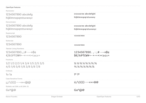| OpenType Features                   |                                                                                                                 |
|-------------------------------------|-----------------------------------------------------------------------------------------------------------------|
| Numerator                           |                                                                                                                 |
| 1234567890 abcdefg                  | 0123456789 abcdefghi                                                                                            |
| hijklmnopqrstuvwxyz                 | hijklmnopqrstuvwxy                                                                                              |
| Denominator                         |                                                                                                                 |
| 1234567890 abcdefg                  | 0123456789 abcdefghi                                                                                            |
| hijklmnopgrstuvwxyz                 | hijklmnopqrstuvwxyz                                                                                             |
| Superscript                         |                                                                                                                 |
| 1234567890                          | 1234567890                                                                                                      |
| Subscript                           |                                                                                                                 |
| 1234567890                          | 1234567890                                                                                                      |
| <b>Tabular Lining Numbers</b>       |                                                                                                                 |
| $1234567890, ::#---\alpha\beta\phi$ | $1234567890.$ , : ; # - $-\alpha\beta\phi$                                                                      |
|                                     | \$€f₺₽₹£₩¥+-x÷=≠><≥≤±≈                                                                                          |
| Fractions                           |                                                                                                                 |
| 1/2 1/3 2/3 1/4 3/4 1/5 2/5 3/5     | $\frac{1}{2}$ $\frac{1}{3}$ $\frac{2}{3}$ $\frac{1}{4}$ $\frac{3}{4}$ $\frac{1}{5}$ $\frac{2}{5}$ $\frac{3}{5}$ |
| 4/5 1/6 5/6 1/8 3/8 5/8 7/8         | $\frac{4}{5}$ $\frac{1}{6}$ $\frac{5}{6}$ $\frac{1}{8}$ $\frac{3}{8}$ $\frac{5}{8}$ $\frac{7}{8}$               |
| Ordinals                            |                                                                                                                 |
| 1 <sub>o</sub> 1 <sub>a</sub>       | 1 <sup>0</sup> 1 <sup>a</sup>                                                                                   |
| <b>Case Sensitive Forms</b>         |                                                                                                                 |
| $i\lambda/\sqrt{3}$ []---«»         | $i\lambda/\langle 0 $ []---«» $\vee$ @                                                                          |
| Stylistic set 1(Alt. a) & 2(Alt. G) |                                                                                                                 |
| $Gaa(\partial_{\theta}\mathbb{Q})$  | $Ga^a$ @@                                                                                                       |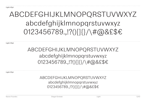Light 30pt

## ABCDEFGHIJKLMNOPQRSTUVWXYZ abcdefghijklmnopqrstuvwxyz 0123456789.,!?()[]{}/\#@&£\$€

Light 22pt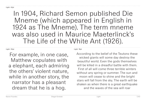## Light 30pt

For example, in one case, Matthew copulates with a elephant, each admiring the others' violent nature, while in another story, the narrator has a pleasant dream that he is a hog.

Light 18pt

According to the belief of the Teutons these wicked giants will some day destroy the beautiful world. Even the gods themselves will be killed in a dreadful battle with them. First of all will come three terrible winters without any spring or summer. The sun and moon will cease to shine and the bright stars will fall from the sky. The earth will be shaken as when there is a great earthquake and the waves of the sea will roar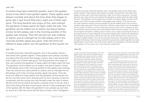#### Light 14pt

A certain king had a beautiful garden, and in the garden stood a tree which bore golden apples. These apples were always counted, and about the time when they began to grow ripe it was found that every night one of them was gone. The king became very angry at this, and ordered the gardener to keep watch all night under the tree. The gardener set his eldest son to watch; but about twelve o'clock he fell asleep, and in the morning another of the apples was missing. Then the second son was ordered to watch; and at midnight he too fell asleep, and in the morning another apple was gone. Then the third son offered to keep watch; but the gardener at first would not

## Light 12pt

A certain king had a beautiful garden, and in the garden stood a tree which bore golden apples. These apples were always counted, and about the time when they began to grow ripe it was found that every night one of them was gone. The king became very angry at this, and ordered the gardener to keep watch all night under the tree. The gardener set his eldest son to watch; but about twelve o'clock he fell asleep, and in the morning another of the apples was missing. Then the second son was ordered to watch; and at midnight he too fell asleep, and in the morning another apple was gone. Then the third son offered to keep watch; but the gardener at first would not let him, for fear some harm should come to him: however, at last he consented, and the young man laid himself under the tree to watch. As the clock struck twelve he heard a rustling noise in the air, and a bird came flying that was of pure gold; and as it was snapping at one of the apples with its beak, the gardener's son jumped up and shot an arrow at it. But the arrow did the bird no harm; only it dropped a

#### Light 10pt

A certain king had a beautiful garden, and in the garden stood a tree which bore golden apples. These apples were always counted, and about the time when they began to grow ripe it was found that every night one of them was gone. The king became very angry at this, and ordered the gardener to keep watch all night under the tree. The gardener set his eldest son to watch; but about twelve o'clock he fell asleep, and in the morning another of the apples was missing. Then the second son was ordered to watch; and at midnight he too fell asleep, and in the morning another apple was gone. Then the third son offered to keep watch; but the gardener at first would not let him, for fear some harm should come to him: however, at last he consented, and the young man laid himself under the tree to watch. As the clock struck twelve he heard a rustling noise in the air, and a bird came flying that was of pure gold; and as it was snapping at one of the apples with its beak, the gardener's son jumped up and shot an arrow at it. But the arrow did the bird no harm; only it dropped a golden feather from its tail, and then flew away. The golden feather was brought to the king in the morning, and all the council was called together. Everyone agreed that it was worth more than all the wealth of the kingdom: but the king said, 'One feather is of no use to me, I must have the whole bird.'

#### Light 8pt

A certain king had a beautiful garden, and in the garden stood a tree which bore golden apples. These apples were always counted, and about the time when they began to grow ripe it was found that every night one of them was gone. The king became very angry at this, and ordered the gardener to keep watch all night under the tree. The gardener set his eldest son to watch; but about twelve o'clock he fell asleep, and in the morning another of the apples was missing. Then the second son was ordered to watch; and at midnight he too fell asleep, and in the morning another apple was gone. Then the third son offered to keep watch; but the gardener at first would not let him, for fear some harm should come to him: however, at last he consented, and the young man laid himself under the tree to watch. As the clock struck twelve he heard a rustling noise in the air, and a bird came flying that was of pure gold; and as it was snapping at one of the apples with its beak, the gardener's son jumped up and shot an arrow at it. But the arrow did the bird no harm; only it dropped a golden feather from its tail, and then flew away. The golden feather was brought to the

king in the morning, and all the council was called together. Everyone agreed that it was worth more than all the wealth of the kingdom: but the king said, 'One feather is of no use to me, I must have the whole bird'

Then the gardener's eldest son set out and thought to find the golden bird very easily; and when he had gone but a little way, he came to a wood, and by the side of the wood he saw a fox sitting; so he took his bow and made ready to shoot at it. Then the fox said, 'Do not shoot me, for I will give you good counsel: I know what your business is, and that you want to find the golden bird. You will reach a village in the evening; and when you get there, you will see two inns opposite to each other, one of which is very pleasant and beautiful to look at: go not in there, but rest for the night in the other, though it may appear to you to be very poor and mean.' But the son thought to himself, 'What can such a beast as this know about the matter?' So he shot his arrow at the fox; but he missed it, and it set up its tail above its back and ran into the wood. Then he went his way, and in the evening came to the village where the two inns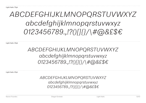Light Italic 30pt

## *ABCDEFGHIJKLMNOPQRSTUVWXYZ abcdefghijklmnopqrstuvwxyz 0123456789.,!?()[]{}/\#@&£\$€*

Light Italic 22pt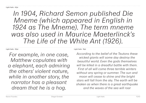## Light Italic 30pt

*For example, in one case, Matthew copulates with a elephant, each admiring the others' violent nature, while in another story, the narrator has a pleasant dream that he is a hog.* 

Light Italic 18pt

*According to the belief of the Teutons these wicked giants will some day destroy the beautiful world. Even the gods themselves will be killed in a dreadful battle with them. First of all will come three terrible winters without any spring or summer. The sun and moon will cease to shine and the bright stars will fall from the sky. The earth will be shaken as when there is a great earthquake and the waves of the sea will roar*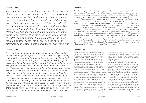#### Light Italic 14pt

*A certain king had a beautiful garden, and in the garden stood a tree which bore golden apples. These apples were always counted, and about the time when they began to grow ripe it was found that every night one of them was gone. The king became very angry at this, and ordered the gardener to keep watch all night under the tree. The gardener set his eldest son to watch; but about twelve o'clock he fell asleep, and in the morning another of the apples was missing. Then the second son was ordered to watch; and at midnight he too fell asleep, and in the morning another apple was gone. Then the third son offered to keep watch; but the gardener at first would not* 

## Light Italic 12pt

*A certain king had a beautiful garden, and in the garden stood a tree which bore golden apples. These apples were always counted, and about the time when they began to grow ripe it was found that every night one of them was gone. The king became very angry at this, and ordered the gardener to keep watch all night under the tree. The gardener set his eldest son to watch; but about twelve o'clock he fell asleep, and in the morning another of the apples was missing. Then the second son was ordered to watch; and at midnight he too fell asleep, and in the morning another apple was gone. Then the third son offered to keep watch; but the gardener at first would not let him, for fear some harm should come to him: however, at last he consented, and the young man laid himself under the tree to watch. As the clock struck twelve he heard a rustling noise in the air, and a bird came flying that was of pure gold; and as it was snapping at one of the apples with its beak, the gardener's son jumped up and shot an arrow at it. But the arrow did the bird no harm; only it dropped a* 

#### Light Italic 10pt

*A certain king had a beautiful garden, and in the garden stood a tree which bore golden apples. These apples were always counted, and about the time when they began to grow ripe it was found that every night one of them was gone. The king became very angry at this, and ordered the gardener to keep watch all night under the tree. The gardener set his eldest son to watch; but about twelve o'clock he fell asleep, and in the morning another of the apples was missing. Then the second son was ordered to watch; and at midnight he too fell asleep, and in the morning another apple was gone. Then the third son offered to keep watch; but the gardener at first would not let him, for fear some harm should come to him: however, at last he consented, and the young man laid himself under the tree to watch. As the clock struck twelve he heard a rustling noise in the air, and a bird came flying that was of pure gold; and as it was snapping at one of the apples with its beak, the gardener's son jumped up and shot an arrow at it. But the arrow did the bird no harm; only it dropped a golden feather from its tail, and then flew away. The golden feather was brought to the king in the morning, and all the council was called together. Everyone agreed that it was worth more than all the wealth of the kingdom: but the king said, 'One feather is of no use to me, I must have the whole bird.'*

#### Light Italic 8pt

*A certain king had a beautiful garden, and in the garden stood a tree which bore golden apples. These apples were always counted, and about the time when they began to grow ripe it was found that every night one of them was gone. The king became very angry at this, and ordered the gardener to keep watch all night under the tree. The gardener set his eldest son to watch; but about twelve o'clock he fell asleep, and in the morning another of the apples was missing. Then the second son was ordered to watch; and at midnight he too fell asleep, and in the morning another apple was gone. Then the third son offered to keep watch; but the gardener at first would not let him, for fear some harm should come to him: however, at last he consented, and the young man laid himself under the tree to watch. As the clock struck twelve he heard a rustling noise in the air, and a bird came flying that was of pure gold; and as it was snapping at one of the apples with its beak, the gardener's son jumped up and shot an arrow at it. But the arrow did the bird no harm; only it dropped a golden feather from its tail, and then flew away. The golden feather was brought* 

*to the king in the morning, and all the council was called together. Everyone agreed that it was worth more than all the wealth of the kingdom: but the king said, 'One feather is of no use to me, I must have the whole bird.'*

*Then the gardener's eldest son set out and thought to find the golden bird very easily; and when he had gone but a little way, he came to a wood, and by the side of the wood he saw a fox sitting; so he took his bow and made ready to shoot at it. Then the fox said, 'Do not shoot me, for I will give you good counsel; I know what your business is, and that you want to find the golden bird. You will reach a village in the evening; and when you get there, you will see two inns opposite to each other, one of which is very pleasant and beautiful to look at: go not in there, but rest for the night in the other, though it may appear to you to be very poor and mean.' But the son thought to himself, 'What can such a beast as this know about the matter?' So he shot his arrow at the fox; but he missed it, and it set up its tail above its back and ran into the wood. Then he went his way, and in the evening came to the village where the*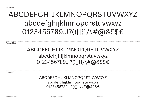Regular 30pt

## ABCDEFGHIJKLMNOPQRSTUVWXYZ abcdefghijklmnopqrstuvwxyz 0123456789.,!?()[]{}/\#@&£\$€

Regular 22pt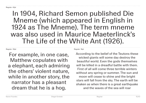## Regular 30pt

For example, in one case, Matthew copulates with a elephant, each admiring the others' violent nature, while in another story, the narrator has a pleasant dream that he is a hog.

Regular 18pt

According to the belief of the Teutons these wicked giants will some day destroy the beautiful world. Even the gods themselves will be killed in a dreadful battle with them. First of all will come three terrible winters without any spring or summer. The sun and moon will cease to shine and the bright stars will fall from the sky. The earth will be shaken as when there is a great earthquake and the waves of the sea will roar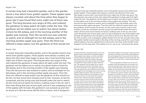#### Regular 14pt

A certain king had a beautiful garden, and in the garden stood a tree which bore golden apples. These apples were always counted, and about the time when they began to grow ripe it was found that every night one of them was gone. The king became very angry at this, and ordered the gardener to keep watch all night under the tree. The gardener set his eldest son to watch; but about twelve o'clock he fell asleep, and in the morning another of the apples was missing. Then the second son was ordered to watch; and at midnight he too fell asleep, and in the morning another apple was gone. Then the third son offered to keep watch; but the gardener at first would not

## Regular 12pt

A certain king had a beautiful garden, and in the garden stood a tree which bore golden apples. These apples were always counted, and about the time when they began to grow ripe it was found that every night one of them was gone. The king became very angry at this, and ordered the gardener to keep watch all night under the tree. The gardener set his eldest son to watch; but about twelve o'clock he fell asleep, and in the morning another of the apples was missing. Then the second son was ordered to watch; and at midnight he too fell asleep, and in the morning another apple was gone. Then the third son offered to keep watch; but the gardener at first would not let him, for fear some harm should come to him: however, at last he consented, and the young man laid himself under the tree to watch. As the clock struck twelve he heard a rustling noise in the air, and a bird came flying that was of pure gold; and as it was snapping at one of the apples with its beak, the gardener's son jumped up and shot an arrow at it. But the arrow did the bird no harm; only it dropped a

#### Regular 10pt

A certain king had a beautiful garden, and in the garden stood a tree which bore golden apples. These apples were always counted, and about the time when they began to grow ripe it was found that every night one of them was gone. The king became very angry at this, and ordered the gardener to keep watch all night under the tree. The gardener set his eldest son to watch; but about twelve o'clock he fell asleep, and in the morning another of the apples was missing. Then the second son was ordered to watch; and at midnight he too fell asleep, and in the morning another apple was gone. Then the third son offered to keep watch; but the gardener at first would not let him, for fear some harm should come to him: however, at last he consented, and the young man laid himself under the tree to watch. As the clock struck twelve he heard a rustling noise in the air, and a bird came flying that was of pure gold; and as it was snapping at one of the apples with its beak, the gardener's son jumped up and shot an arrow at it. But the arrow did the bird no harm; only it dropped a golden feather from its tail, and then flew away. The golden feather was brought to the king in the morning, and all the council was called together. Everyone agreed that it was worth more than all the wealth of the kingdom: but the king said, 'One feather is of no use to me, I must have the whole

#### Regular 8pt

A certain king had a beautiful garden, and in the garden stood a tree which bore golden apples. These apples were always counted, and about the time when they began to grow ripe it was found that every night one of them was gone. The king became very angry at this, and ordered the gardener to keep watch all night under the tree. The gardener set his eldest son to watch; but about twelve o'clock he fell asleep, and in the morning another of the apples was missing. Then the second son was ordered to watch; and at midnight he too fell asleep, and in the morning another apple was gone. Then the third son offered to keep watch; but the gardener at first would not let him, for fear some harm should come to him: however, at last he consented, and the young man laid himself under the tree to watch. As the clock struck twelve he heard a rustling noise in the air, and a bird came flying that was of pure gold; and as it was snapping at one of the apples with its beak, the gardener's son jumped up and shot an arrow at it. But the arrow did the bird no harm; only it dropped a golden feather from its tail, and then flew away.

The golden feather was brought to the king in the morning, and all the council was called together. Everyone agreed that it was worth more than all the wealth of the kingdom: but the king said, 'One feather is of no use to me, I must have the whole bird.'

Then the gardener's eldest son set out and thought to find the golden bird very easily; and when he had gone but a little way, he came to a wood, and by the side of the wood he saw a fox sitting; so he took his bow and made ready to shoot at it. Then the fox said, 'Do not shoot me, for I will give you good counsel; I know what your business is, and that you want to find the golden bird. You will reach a village in the evening; and when you get there, you will see two inns opposite to each other, one of which is very pleasant and beautiful to look at: go not in there, but rest for the night in the other, though it may appear to you to be very poor and mean.' But the son thought to himself, 'What can such a beast as this know about the matter?' So he shot his arrow at the fox; but he missed it, and it set up its tail above its back and ran into the wood. Then he went his way,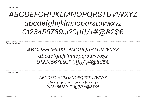Regular Italic 30pt

## *ABCDEFGHIJKLMNOPQRSTUVWXYZ abcdefghijklmnopqrstuvwxyz 0123456789.,!?()[]{}/\#@&£\$€*

Regular Italic 22pt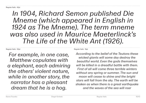#### Regular Italic 30pt

*For example, in one case, Matthew copulates with a elephant, each admiring the others' violent nature, while in another story, the narrator has a pleasant dream that he is a hog.* 

Regular Italic 18pt

*According to the belief of the Teutons these wicked giants will some day destroy the beautiful world. Even the gods themselves will be killed in a dreadful battle with them. First of all will come three terrible winters without any spring or summer. The sun and moon will cease to shine and the bright stars will fall from the sky. The earth will be shaken as when there is a great earthquake and the waves of the sea will roar*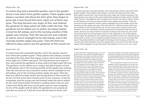#### Regular Italic 14pt

*A certain king had a beautiful garden, and in the garden stood a tree which bore golden apples. These apples were always counted, and about the time when they began to grow ripe it was found that every night one of them was gone. The king became very angry at this, and ordered the gardener to keep watch all night under the tree. The gardener set his eldest son to watch; but about twelve o'clock he fell asleep, and in the morning another of the apples was missing. Then the second son was ordered to watch; and at midnight he too fell asleep, and in the morning another apple was gone. Then the third son offered to keep watch; but the gardener at first would not* 

#### Regular Italic 12pt

*A certain king had a beautiful garden, and in the garden stood a tree which bore golden apples. These apples were always counted, and about the time when they began to grow ripe it was found that every night one of them was gone. The king became very angry at this, and ordered the gardener to keep watch all night under the tree. The gardener set his eldest son to watch; but about twelve o'clock he fell asleep, and in the morning another of the apples was missing. Then the second son was ordered to watch; and at midnight he too fell asleep, and in the morning another apple was gone. Then the third son offered to keep watch; but the gardener at first would not let him, for fear some harm should come to him: however, at last he consented, and the young man laid himself under the tree to watch. As the clock struck twelve he heard a rustling noise in the air, and a bird came flying that was of pure gold; and as it was snapping at one of the apples with its beak, the gardener's son jumped up and shot an arrow at it. But the arrow did the bird no harm; only* 

#### Regular Italic 10pt

*A certain king had a beautiful garden, and in the garden stood a tree which bore golden apples. These apples were always counted, and about the time when they began to grow ripe it was found that every night one of them was gone. The king became very angry at this, and ordered the gardener to keep watch all night under the tree. The gardener set his eldest son to watch; but about twelve o'clock he fell asleep, and in the morning another of the apples was missing. Then the second son was ordered to watch; and at midnight he too fell asleep, and in the morning another apple was gone. Then the third son offered to keep watch; but the gardener at first would not let him, for fear some harm should come to him: however, at last he consented, and the young man laid himself under the tree to watch. As the clock struck twelve he heard a rustling noise in the air, and a bird came flying that was of pure gold; and as it was snapping at one of the apples with its beak, the gardener's son jumped up and shot an arrow at it. But the arrow did the bird no harm; only it dropped a golden feather from its tail, and then flew away. The golden feather was brought to the king in the morning, and all the council was called together. Everyone agreed that it was worth more than all the wealth of the kingdom: but the king said, 'One feather is of no use to me, I must* 

#### Regular Italic 8pt

*A certain king had a beautiful garden, and in the garden stood a tree which bore golden apples. These apples were always counted, and about the time when they began to grow ripe it was found that every night one of them was gone. The king became very angry at this, and ordered the gardener to keep watch all night under the tree. The gardener set his eldest son to watch; but about twelve o'clock he fell asleep, and in the morning another of the apples was missing. Then the second son was ordered to watch; and at midnight he too fell asleep, and in the morning another apple was gone. Then the third son offered to keep watch; but the gardener at first would not let him, for fear some harm should come to him: however, at last he consented, and the young man laid himself under the tree to watch. As the clock struck twelve he heard a rustling noise in the air, and a bird came flying that was of pure gold; and as it was snapping at one of the apples with its beak, the gardener's son jumped up and shot an arrow at it. But the arrow did the bird no harm; only it dropped a golden feather from its tail, and then flew away.* 

*The golden feather was brought to the king in the morning, and all the council was called together. Everyone agreed that it was worth more than all the wealth of the kingdom: but the king said, 'One feather is of no use to me, I must have the whole bird.'*

*Then the gardener's eldest son set out and thought to find the golden bird very easily; and when he had gone but a little way, he came to a wood, and by the side of the wood he saw a fox sitting; so he took his bow and made ready to shoot at it. Then the fox said, 'Do not shoot me, for I will give you good counsel; I know what your business is, and that you want to find the golden bird. You will reach a village in the evening; and when you get there, you will see two inns opposite to each other, one of which is very pleasant and beautiful to look at: go not in there, but rest for the night in the other, though it may appear to you to be very poor and mean.' But the son thought to himself, 'What can such a beast as this know about the matter?' So he shot his arrow at the fox; but he missed it, and it set up its tail above its back and ran into the wood. Then he went*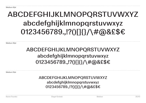Medium 30pt

## ABCDEFGHIJKLMNOPQRSTUVWXYZ abcdefghijklmnopqrstuvwxyz 0123456789.,!?()[]{}/\#@&£\$€

Medium 22pt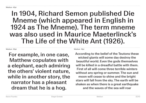## Medium 30pt

For example, in one case, Matthew copulates with a elephant, each admiring the others' violent nature, while in another story, the narrator has a pleasant dream that he is a hog.

Medium 18pt

According to the belief of the Teutons these wicked giants will some day destroy the beautiful world. Even the gods themselves will be killed in a dreadful battle with them. First of all will come three terrible winters without any spring or summer. The sun and moon will cease to shine and the bright stars will fall from the sky. The earth will be shaken as when there is a great earthquake and the waves of the sea will roar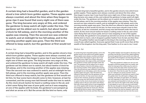#### Medium 14pt

A certain king had a beautiful garden, and in the garden stood a tree which bore golden apples. These apples were always counted, and about the time when they began to grow ripe it was found that every night one of them was gone. The king became very angry at this, and ordered the gardener to keep watch all night under the tree. The gardener set his eldest son to watch; but about twelve o'clock he fell asleep, and in the morning another of the apples was missing. Then the second son was ordered to watch; and at midnight he too fell asleep, and in the morning another apple was gone. Then the third son offered to keep watch; but the gardener at first would not

#### Medium 12pt

A certain king had a beautiful garden, and in the garden stood a tree which bore golden apples. These apples were always counted, and about the time when they began to grow ripe it was found that every night one of them was gone. The king became very angry at this, and ordered the gardener to keep watch all night under the tree. The gardener set his eldest son to watch; but about twelve o'clock he fell asleep, and in the morning another of the apples was missing. Then the second son was ordered to watch; and at midnight he too fell asleep, and in the morning another apple was gone. Then the third son offered to keep watch; but the gardener at first would not let him, for fear some harm should come to him: however, at last he consented, and the young man laid himself under the tree to watch. As the clock struck twelve he heard a rustling noise in the air, and a bird came flying that was of pure gold; and as it was snapping at one of the apples with its beak, the gardener's son jumped up and shot an arrow at it. But the arrow did the bird no harm; only

#### Medium 10pt

A certain king had a beautiful garden, and in the garden stood a tree which bore golden apples. These apples were always counted, and about the time when they began to grow ripe it was found that every night one of them was gone. The king became very angry at this, and ordered the gardener to keep watch all night under the tree. The gardener set his eldest son to watch; but about twelve o'clock he fell asleep, and in the morning another of the apples was missing. Then the second son was ordered to watch; and at midnight he too fell asleep, and in the morning another apple was gone. Then the third son offered to keep watch; but the gardener at first would not let him, for fear some harm should come to him: however, at last he consented, and the young man laid himself under the tree to watch. As the clock struck twelve he heard a rustling noise in the air, and a bird came flying that was of pure gold; and as it was snapping at one of the apples with its beak, the gardener's son jumped up and shot an arrow at it. But the arrow did the bird no harm; only it dropped a golden feather from its tail, and then flew away. The golden feather was brought to the king in the morning, and all the council was called together. Everyone agreed that it was worth more than all the wealth of the kingdom: but the king said, 'One feather is of no use to me, I must

#### Medium 8pt

A certain king had a beautiful garden, and in the garden stood a tree which bore golden apples. These apples were always counted, and about the time when they began to grow ripe it was found that every night one of them was gone. The king became very angry at this, and ordered the gardener to keep watch all night under the tree. The gardener set his eldest son to watch; but about twelve o'clock he fell asleep, and in the morning another of the apples was missing. Then the second son was ordered to watch; and at midnight he too fell asleep, and in the morning another apple was gone. Then the third son offered to keep watch; but the gardener at first would not let him, for fear some harm should come to him: however, at last he consented, and the young man laid himself under the tree to watch. As the clock struck twelve he heard a rustling noise in the air, and a bird came flying that was of pure gold; and as it was snapping at one of the apples with its beak, the gardener's son jumped up and shot an arrow at it. But the arrow did the bird no harm; only it dropped a golden feather from its tail, and then flew away.

The golden feather was brought to the king in the morning, and all the council was called together. Everyone agreed that it was worth more than all the wealth of the kingdom: but the king said, 'One feather is of no use to me, I must have the whole bird.'

Then the gardener's eldest son set out and thought to find the golden bird very easily; and when he had gone but a little way, he came to a wood, and by the side of the wood he saw a fox sitting; so he took his bow and made ready to shoot at it. Then the fox said, 'Do not shoot me, for I will give you good counsel; I know what your business is, and that you want to find the golden bird. You will reach a village in the evening; and when you get there, you will see two inns opposite to each other, one of which is very pleasant and beautiful to look at: go not in there, but rest for the night in the other, though it may appear to you to be very poor and mean.' But the son thought to himself, 'What can such a beast as this know about the matter?' So he shot his arrow at the fox; but he missed it, and it set up its tail above its back and ran into the wood.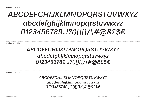Medium Italic 30pt

## *ABCDEFGHIJKLMNOPQRSTUVWXYZ abcdefghijklmnopqrstuvwxyz 0123456789.,!?()[]{}/\#@&£\$€*

Medium Italic 22pt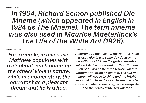Medium Italic 30pt

*For example, in one case, Matthew copulates with a elephant, each admiring the others' violent nature, while in another story, the narrator has a pleasant dream that he is a hog.* 

Medium Italic 18pt

*According to the belief of the Teutons these wicked giants will some day destroy the beautiful world. Even the gods themselves will be killed in a dreadful battle with them. First of all will come three terrible winters without any spring or summer. The sun and moon will cease to shine and the bright stars will fall from the sky. The earth will be shaken as when there is a great earthquake and the waves of the sea will roar*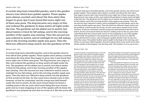#### Medium Italic 14pt

*A certain king had a beautiful garden, and in the garden stood a tree which bore golden apples. These apples were always counted, and about the time when they began to grow ripe it was found that every night one of them was gone. The king became very angry at this, and ordered the gardener to keep watch all night under the tree. The gardener set his eldest son to watch; but about twelve o'clock he fell asleep, and in the morning another of the apples was missing. Then the second son was ordered to watch; and at midnight he too fell asleep, and in the morning another apple was gone. Then the third son offered to keep watch; but the gardener at first* 

#### Medium Italic 12pt

*A certain king had a beautiful garden, and in the garden stood a tree which bore golden apples. These apples were always counted, and about the time when they began to grow ripe it was found that every night one of them was gone. The king became very angry at this, and ordered the gardener to keep watch all night under the tree. The gardener set his eldest son to watch; but about twelve o'clock he fell asleep, and in the morning another of the apples was missing. Then the second son was ordered to watch; and at midnight he too fell asleep, and in the morning another apple was gone. Then the third son offered to keep watch; but the gardener at first would not let him, for fear some harm should come to him: however, at last he consented, and the young man laid himself under the tree to watch. As the clock struck twelve he heard a rustling noise in the air, and a bird came flying that was of pure gold; and as it was snapping at one of the apples with its beak, the gardener's son jumped up and shot an arrow at it. But the arrow did* 

#### Medium Italic 10pt

*A certain king had a beautiful garden, and in the garden stood a tree which bore golden apples. These apples were always counted, and about the time when they began to grow ripe it was found that every night one of them was gone. The king became very angry at this, and ordered the gardener to keep watch all night under the tree. The gardener set his eldest son to watch; but about twelve o'clock he fell asleep, and in the morning another of the apples was missing. Then the second son was ordered to watch; and at midnight he too fell asleep, and in the morning another apple was gone. Then the third son offered to keep watch; but the gardener at first would not let him, for fear some harm should come to him: however, at last he consented, and the young man laid himself under the tree to watch. As the clock struck twelve he heard a rustling noise in the air, and a bird came flying that was of pure gold; and as it was snapping at one of the apples with its beak, the gardener's son jumped up and shot an arrow at it. But the arrow did the bird no harm; only it dropped a golden feather from its tail, and then flew away. The golden feather was brought to the king in the morning, and all the council was called together. Everyone agreed that it was worth more than all the wealth of the kingdom: but the king said, 'One feather is of no use to me, I* 

#### Medium Italic 8pt

*A certain king had a beautiful garden, and in the garden stood a tree which bore golden apples. These apples were always counted, and about the time when they began to grow ripe it was found that every night one of them was gone. The king became very angry at this, and ordered the gardener to keep watch all night under the tree. The gardener set his eldest son to watch; but about twelve o'clock he fell asleep, and in the morning another of the apples was missing. Then the second son was ordered to watch; and at midnight he too fell asleep, and in the morning another apple was gone. Then the third son offered to keep watch; but the gardener at first would not let him, for fear some harm should come to him: however, at last he consented, and the young man laid himself under the tree to watch. As the clock struck twelve he heard a rustling noise in the air, and a bird came flying that was of pure gold; and as it was snapping at one of the apples with its beak, the gardener's son jumped up and shot an arrow at it. But the arrow did the bird no harm; only it dropped a golden feather from its tail, and then flew away.* 

*The golden feather was brought to the king in the morning, and all the council was called together. Everyone agreed that it was worth more than all the wealth of the kingdom: but the king said, 'One feather is of no use to me, I must have the whole bird.'*

*Then the gardener's eldest son set out and thought to find the golden bird very easily; and when he had gone but a little way, he came to a wood, and by the side of the wood he saw a fox sitting; so he took his bow and made ready to shoot at it. Then the fox said, 'Do not shoot me, for I will give you good counsel; I know what your business is, and that you want to find the golden bird. You will reach a village in the evening; and when you get there, you will see two inns opposite to each other, one of which is very pleasant and beautiful to look at: go not in there, but rest for the night in the other, though it may appear to you to be very poor and mean.' But the son thought to himself, 'What can such a beast as this know about the matter?' So he shot his arrow at the fox; but he missed it, and it set up its tail above its back and ran into the wood.*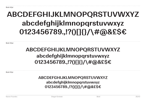Bold 30pt

## **ABCDEFGHIJKLMNOPQRSTUVWXYZ abcdefghijklmnopqrstuvwxyz 0123456789.,!?()[]{}/\#@&£\$€**

Bold 22pt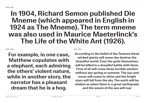## Bold 30pt

**For example, in one case, Matthew copulates with a elephant, each admiring the others' violent nature, while in another story, the narrator has a pleasant dream that he is a hog.** 

Bold 18pt

**According to the belief of the Teutons these wicked giants will some day destroy the beautiful world. Even the gods themselves will be killed in a dreadful battle with them. First of all will come three terrible winters without any spring or summer. The sun and moon will cease to shine and the bright stars will fall from the sky. The earth will be shaken as when there is a great earthquake and the waves of the sea will roar**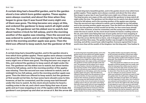#### Bold 14pt

**A certain king had a beautiful garden, and in the garden stood a tree which bore golden apples. These apples were always counted, and about the time when they began to grow ripe it was found that every night one of them was gone. The king became very angry at this, and ordered the gardener to keep watch all night under the tree. The gardener set his eldest son to watch; but about twelve o'clock he fell asleep, and in the morning another of the apples was missing. Then the second son was ordered to watch; and at midnight he too fell asleep, and in the morning another apple was gone. Then the third son offered to keep watch; but the gardener at first** 

#### Bold 12pt

**A certain king had a beautiful garden, and in the garden stood a tree which bore golden apples. These apples were always counted, and about the time when they began to grow ripe it was found that every night one of them was gone. The king became very angry at this, and ordered the gardener to keep watch all night under the tree. The gardener set his eldest son to watch; but about twelve o'clock he fell asleep, and in the morning another of the apples was missing. Then the second son was ordered to watch; and at midnight he too fell asleep, and in the morning another apple was gone. Then the third son offered to keep watch; but the gardener at first would not let him, for fear some harm should come to him: however, at last he consented, and the young man laid himself under the tree to watch. As the clock struck twelve he heard a rustling noise in the air, and a bird came flying that was of pure gold; and as it was snapping at one of the apples with its beak, the gardener's son jumped up and shot an arrow at it. But the arrow did** 

#### Bold 10pt

**A certain king had a beautiful garden, and in the garden stood a tree which bore golden apples. These apples were always counted, and about the time when they began to grow ripe it was found that every night one of them was gone. The king became very angry at this, and ordered the gardener to keep watch all night under the tree. The gardener set his eldest son to watch; but about twelve o'clock he fell asleep, and in the morning another of the apples was missing. Then the second son was ordered to watch; and at midnight he too fell asleep, and in the morning another apple was gone. Then the third son offered to keep watch; but the gardener at first would not let him, for fear some harm should come to him: however, at last he consented, and the young man laid himself under the tree to watch. As the clock struck twelve he heard a rustling noise in the air, and a bird came flying that was of pure gold; and as it was snapping at one of the apples with its beak, the gardener's son jumped up and shot an arrow at it. But the arrow did the bird no harm; only it dropped a golden feather from its tail, and then flew away. The golden feather was brought to the king in the morning, and all the council was called together. Everyone agreed that it was worth more than all the wealth of the kingdom: but the king said, 'One feather is** 

#### Bold 8pt

**A certain king had a beautiful garden, and in the garden stood a tree which bore golden apples. These apples were always counted, and about the time when they began to grow ripe it was found that every night one of them was gone. The king became very angry at this, and ordered the gardener to keep watch all night under the tree. The gardener set his eldest son to watch; but about twelve o'clock he fell asleep, and in the morning another of the apples was missing. Then the second son was ordered to watch; and at midnight he too fell asleep, and in the morning another apple was gone. Then the third son offered to keep watch; but the gardener at first would not let him, for fear some harm should come to him: however, at last he consented, and the young man laid himself under the tree to watch. As the clock struck twelve he heard a rustling noise in the air, and a bird came flying that was of pure gold; and as it was snapping at one of the apples with its beak, the gardener's son jumped up and shot an arrow at it. But the arrow did the bird no harm; only it dropped a golden feather from its tail, and then flew away.** 

**The golden feather was brought to the king in the morning, and all the council was called together. Everyone agreed that it was worth more than all the wealth of the kingdom: but the king said, 'One feather is of no use to me, I must have the whole bird.'**

**Then the gardener's eldest son set out and thought to find the golden bird very easily; and when he had gone but a little way, he came to a wood, and by the side of the wood he saw a fox sitting; so he took his bow and made ready to shoot at it. Then the fox said, 'Do not shoot me, for I will give you good counsel; I know what your business is, and that you want to find the golden bird. You will reach a village in the evening; and when you get there, you will see two inns opposite to each other, one of which is very pleasant and beautiful to look at: go not in there, but rest for the night in the other, though it may appear to you to be very poor and mean.' But the son thought to himself, 'What can such a beast as this know about the matter?' So he shot his arrow at the fox; but he missed it, and it set up its tail above its back and ran into the wood.**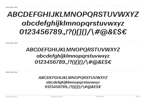Bold Italic 30pt

## *ABCDEFGHIJKLMNOPQRSTUVWXYZ abcdefghijklmnopqrstuvwxyz 0123456789.,!?()[]{}/\#@&£\$€*

Bold Italic 22pt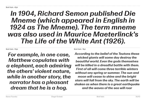## Bold Italic 30pt

*For example, in one case, Matthew copulates with a elephant, each admiring the others' violent nature, while in another story, the narrator has a pleasant dream that he is a hog.* 

Bold Italic 18pt

*According to the belief of the Teutons these wicked giants will some day destroy the beautiful world. Even the gods themselves will be killed in a dreadful battle with them. First of all will come three terrible winters without any spring or summer. The sun and moon will cease to shine and the bright stars will fall from the sky. The earth will be shaken as when there is a great earthquake and the waves of the sea will roar*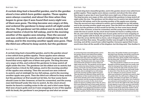#### Bold Italic 14pt

## *A certain king had a beautiful garden, and in the garden stood a tree which bore golden apples. These apples were always counted, and about the time when they began to grow ripe it was found that every night one of them was gone. The king became very angry at this, and ordered the gardener to keep watch all night under the tree. The gardener set his eldest son to watch; but about twelve o'clock he fell asleep, and in the morning another of the apples was missing. Then the second son was ordered to watch; and at midnight he too fell asleep, and in the morning another apple was gone. Then the third son offered to keep watch; but the gardener*

#### Bold Italic 12pt

*A certain king had a beautiful garden, and in the garden stood a tree which bore golden apples. These apples were always counted, and about the time when they began to grow ripe it was found that every night one of them was gone. The king became very angry at this, and ordered the gardener to keep watch all night under the tree. The gardener set his eldest son to watch; but about twelve o'clock he fell asleep, and in the morning another of the apples was missing. Then the second son was ordered to watch; and at midnight he too fell asleep, and in the morning another apple was gone. Then the third son offered to keep watch; but the gardener at first would not let him, for fear some harm should come to him: however, at last he consented, and the young man laid himself under the tree to watch. As the clock struck twelve he heard a rustling noise in the air, and a bird came flying that was of pure gold; and as it was snapping at one of the apples with its beak, the gardener's son jumped up and shot an arrow* 

#### Bold Italic 10pt

*A certain king had a beautiful garden, and in the garden stood a tree which bore golden apples. These apples were always counted, and about the time when they began to grow ripe it was found that every night one of them was gone. The king became very angry at this, and ordered the gardener to keep watch all night under the tree. The gardener set his eldest son to watch; but about twelve o'clock he fell asleep, and in the morning another of the apples was missing. Then the second son was ordered to watch; and at midnight he too fell asleep, and in the morning another apple was gone. Then the third son offered to keep watch; but the gardener at first would not let him, for fear some harm should come to him: however, at last he consented, and the young man laid himself under the tree to watch. As the clock struck twelve he heard a rustling noise in the air, and a bird came flying that was of pure gold; and as it was snapping at one of the apples with its beak, the gardener's son jumped up and shot an arrow at it. But the arrow did the bird no harm; only it dropped a golden feather from its tail, and then flew away. The golden feather was brought to the king in the morning, and all the council was called together. Everyone agreed that it was worth more than all the wealth of the kingdom: but the king said, 'One feather is* 

#### Bold Italic 8pt

*A certain king had a beautiful garden, and in the garden stood a tree which bore golden apples. These apples were always counted, and about the time when they began to grow ripe it was found that every night one of them was gone. The king became very angry at this, and ordered the gardener to keep watch all night under the tree. The gardener set his eldest son to watch; but about twelve o'clock he fell asleep, and in the morning another of the apples was missing. Then the second son was ordered to watch; and at midnight he too fell asleep, and in the morning another apple was gone. Then the third son offered to keep watch; but the gardener at first would not let him, for fear some harm should come to him: however, at last he consented, and the young man laid himself under the tree to watch. As the clock struck twelve he heard a rustling noise in the air, and a bird came flying that was of pure gold; and as it was snapping at one of the apples with its beak, the gardener's son jumped up and shot an arrow at it. But the arrow did the bird no harm; only it dropped a golden feather from its tail, and then* 

*flew away. The golden feather was brought to the king in the morning, and all the council was called together. Everyone agreed that it was worth more than all the wealth of the kingdom: but the king said, 'One feather is of no use to me, I must have the whole bird.'*

*Then the gardener's eldest son set out and thought to find the golden bird very easily; and when he had gone but a little way, he came to a wood, and by the side of the wood he saw a fox sitting; so he took his bow and made ready to shoot at it. Then the fox said, 'Do not shoot me, for I will give you good counsel; I know what your business is, and that you want to find the golden bird. You will reach a village in the evening; and when you get there, you will see two inns opposite to each other, one of which is very pleasant and beautiful to look at: go not in there, but rest for the night in the other, though it may appear to you to be very poor and mean.' But the son thought to himself, 'What can such a beast as this know about the matter?' So he shot his arrow at the fox; but he missed it, and it set up its tail above its back and ran into the*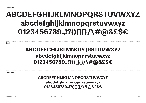Black 30pt

## ABCDEFGHIJKLMNOPQRSTUVWXYZ abcdefghijklmnopqrstuvwxyz 0123456789.,!?()[]{}/\#@&£\$€

Black 22pt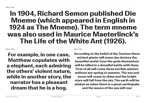## Black 30pt

For example, in one case, Matthew copulates with a elephant, each admiring the others' violent nature, while in another story, the narrator has a pleasant dream that he is a hog.

Black 18pt

According to the belief of the Teutons these wicked giants will some day destroy the beautiful world. Even the gods themselves will be killed in a dreadful battle with them. First of all will come three terrible winters without any spring or summer. The sun and moon will cease to shine and the bright stars will fall from the sky. The earth will be shaken as when there is a great earthquake and the waves of the sea will roar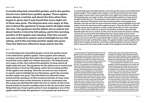#### Black 14pt

A certain king had a beautiful garden, and in the garden stood a tree which bore golden apples. These apples were always counted, and about the time when they began to grow ripe it was found that every night one of them was gone. The king became very angry at this, and ordered the gardener to keep watch all night under the tree. The gardener set his eldest son to watch; but about twelve o'clock he fell asleep, and in the morning another of the apples was missing. Then the second son was ordered to watch; and at midnight he too fell asleep, and in the morning another apple was gone. Then the third son offered to keep watch; but the

#### Black 12pt

A certain king had a beautiful garden, and in the garden stood a tree which bore golden apples. These apples were always counted, and about the time when they began to grow ripe it was found that every night one of them was gone. The king became very angry at this, and ordered the gardener to keep watch all night under the tree. The gardener set his eldest son to watch; but about twelve o'clock he fell asleep, and in the morning another of the apples was missing. Then the second son was ordered to watch; and at midnight he too fell asleep, and in the morning another apple was gone. Then the third son offered to keep watch; but the gardener at first would not let him, for fear some harm should come to him: however, at last he consented, and the young man laid himself under the tree to watch. As the clock struck twelve he heard a rustling noise in the air, and a bird came flying that was of pure gold; and as it was snapping at one of the apples with its beak, the gardener's son jumped up and shot an

#### Black 10pt

A certain king had a beautiful garden, and in the garden stood a tree which bore golden apples. These apples were always counted, and about the time when they began to grow ripe it was found that every night one of them was gone. The king became very angry at this, and ordered the gardener to keep watch all night under the tree. The gardener set his eldest son to watch; but about twelve o'clock he fell asleep, and in the morning another of the apples was missing. Then the second son was ordered to watch; and at midnight he too fell asleep, and in the morning another apple was gone. Then the third son offered to keep watch; but the gardener at first would not let him, for fear some harm should come to him: however, at last he consented, and the young man laid himself under the tree to watch. As the clock struck twelve he heard a rustling noise in the air, and a bird came flying that was of pure gold; and as it was snapping at one of the apples with its beak, the gardener's son jumped up and shot an arrow at it. But the arrow did the bird no harm; only it dropped a golden feather from its tail, and then flew away. The golden feather was brought to the king in the morning, and all the council was called together. Everyone agreed that it was worth more than all the wealth of the kingdom: but the king said,

#### Black 8pt

A certain king had a beautiful garden, and in the garden stood a tree which bore golden apples. These apples were always counted, and about the time when they began to grow ripe it was found that every night one of them was gone. The king became very angry at this, and ordered the gardener to keep watch all night under the tree. The gardener set his eldest son to watch; but about twelve o'clock he fell asleep, and in the morning another of the apples was missing. Then the second son was ordered to watch; and at midnight he too fell asleep, and in the morning another apple was gone. Then the third son offered to keep watch; but the gardener at first would not let him, for fear some harm should come to him: however, at last he consented, and the young man laid himself under the tree to watch. As the clock struck twelve he heard a rustling noise in the air, and a bird came flying that was of pure gold; and as it was snapping at one of the apples with its beak, the gardener's son jumped up and shot an arrow at it. But the arrow did the bird no harm; only it dropped a golden feather from its tail,

and then flew away. The golden feather was brought to the king in the morning, and all the council was called together. Everyone agreed that it was worth more than all the wealth of the kingdom: but the king said, 'One feather is of no use to me, I must have the whole bird.'

Then the gardener's eldest son set out and thought to find the golden bird very easily; and when he had gone but a little way, he came to a wood, and by the side of the wood he saw a fox sitting; so he took his bow and made ready to shoot at it. Then the fox said, 'Do not shoot me, for I will give you good counsel; I know what your business is, and that you want to find the golden bird. You will reach a village in the evening; and when you get there, you will see two inns opposite to each other, one of which is very pleasant and beautiful to look at: go not in there, but rest for the night in the other, though it may appear to you to be very poor and mean.' But the son thought to himself, 'What can such a beast as this know about the matter?' So he shot his arrow at the fox; but he missed it, and it set up its tail above its back and ran into the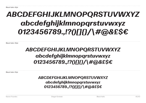Black Italic 30pt

## *ABCDEFGHIJKLMNOPQRSTUVWXYZ abcdefghijklmnopqrstuvwxyz 0123456789.,!?()[]{}/\#@&£\$€*

Black Italic 22pt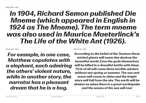## Black Italic 30pt

*For example, in one case, Matthew copulates with a elephant, each admiring the others' violent nature, while in another story, the narrator has a pleasant dream that he is a hog.* 

Black Italic 18pt

*According to the belief of the Teutons these wicked giants will some day destroy the beautiful world. Even the gods themselves will be killed in a dreadful battle with them. First of all will come three terrible winters without any spring or summer. The sun and moon will cease to shine and the bright stars will fall from the sky. The earth will be shaken as when there is a great earthquake and the waves of the sea will roar*